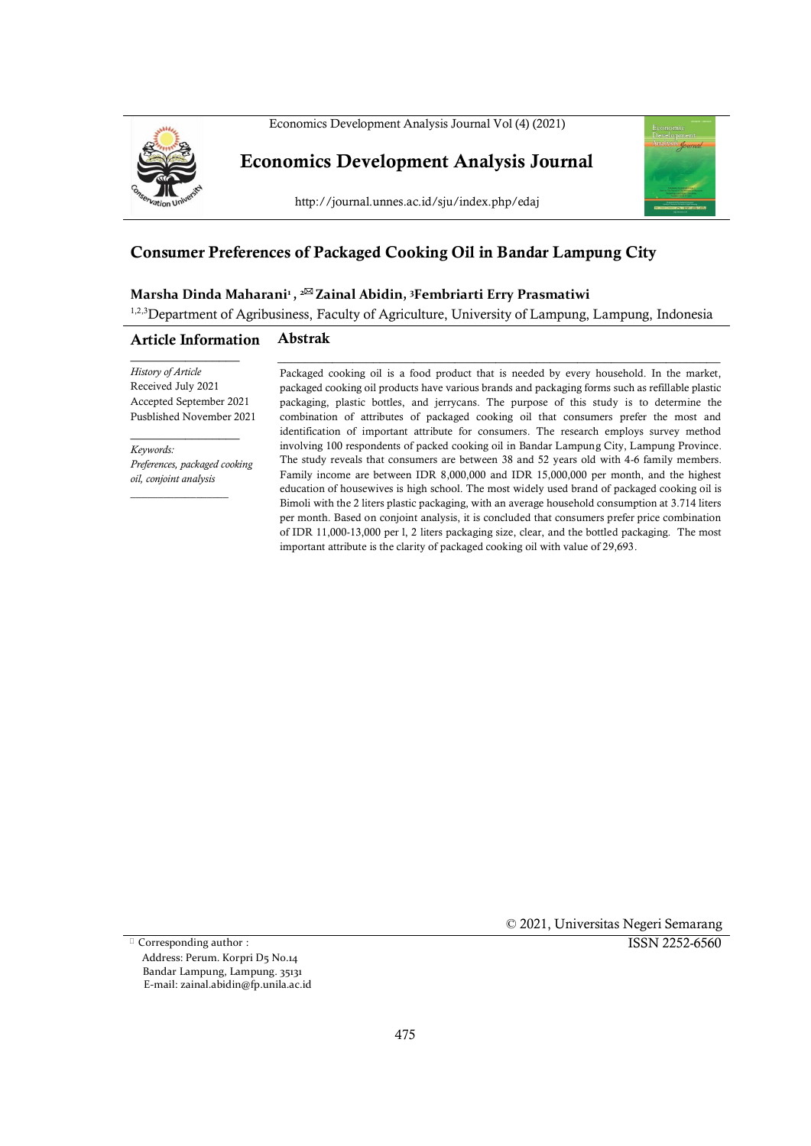



**Economics Development Analysis Journal**

http://journal.unnes.ac.id/sju/index.php/edaj



# **Consumer Preferences of Packaged Cooking Oil in Bandar Lampung City**

#### **Marsha Dinda Maharani<sup>1</sup> , <sup>2</sup> Zainal Abidin, <sup>3</sup>Fembriarti Erry Prasmatiwi**

<sup>1,2,3</sup>Department of Agribusiness, Faculty of Agriculture, University of Lampung, Lampung, Indonesia

#### **Article Information Abstrak**

\_\_\_\_\_\_\_\_\_\_\_\_\_\_\_\_ *History of Article* Received July 2021 Accepted September 2021 Pusblished November 2021

*Keywords: Preferences, packaged cooking oil, conjoint analysis*

 $\overline{\phantom{a}}$  , where  $\overline{\phantom{a}}$  , where  $\overline{\phantom{a}}$  , where  $\overline{\phantom{a}}$  ,  $\overline{\phantom{a}}$  ,  $\overline{\phantom{a}}$  ,  $\overline{\phantom{a}}$  ,  $\overline{\phantom{a}}$  ,  $\overline{\phantom{a}}$  ,  $\overline{\phantom{a}}$  ,  $\overline{\phantom{a}}$  ,  $\overline{\phantom{a}}$  ,  $\overline{\phantom{a}}$  ,  $\overline{\phantom{a}}$  ,  $\overline{\phantom$ 

 $\overline{\phantom{a}}$  , where  $\overline{\phantom{a}}$ 

Packaged cooking oil is a food product that is needed by every household. In the market, packaged cooking oil products have various brands and packaging forms such as refillable plastic packaging, plastic bottles, and jerrycans. The purpose of this study is to determine the combination of attributes of packaged cooking oil that consumers prefer the most and identification of important attribute for consumers. The research employs survey method involving 100 respondents of packed cooking oil in Bandar Lampung City, Lampung Province. The study reveals that consumers are between 38 and 52 years old with 4-6 family members. Family income are between IDR 8,000,000 and IDR 15,000,000 per month, and the highest education of housewives is high school. The most widely used brand of packaged cooking oil is Bimoli with the 2 liters plastic packaging, with an average household consumption at 3.714 liters per month. Based on conjoint analysis, it is concluded that consumers prefer price combination of IDR 11,000-13,000 per l, 2 liters packaging size, clear, and the bottled packaging. The most important attribute is the clarity of packaged cooking oil with value of 29,693.

\_\_\_\_\_\_\_\_\_\_\_\_\_\_\_\_\_\_\_\_\_\_\_\_\_\_\_\_\_\_\_\_\_\_\_\_\_\_\_\_\_\_\_\_\_\_\_\_\_\_\_\_\_\_\_\_\_\_\_\_\_\_\_\_\_

Corresponding author : Address: Perum. Korpri D5 No.14 Bandar Lampung, Lampung. 35131 E-mail: zainal.abidin@fp.unila.ac.id © 2021, Universitas Negeri Semarang

ISSN 2252-6560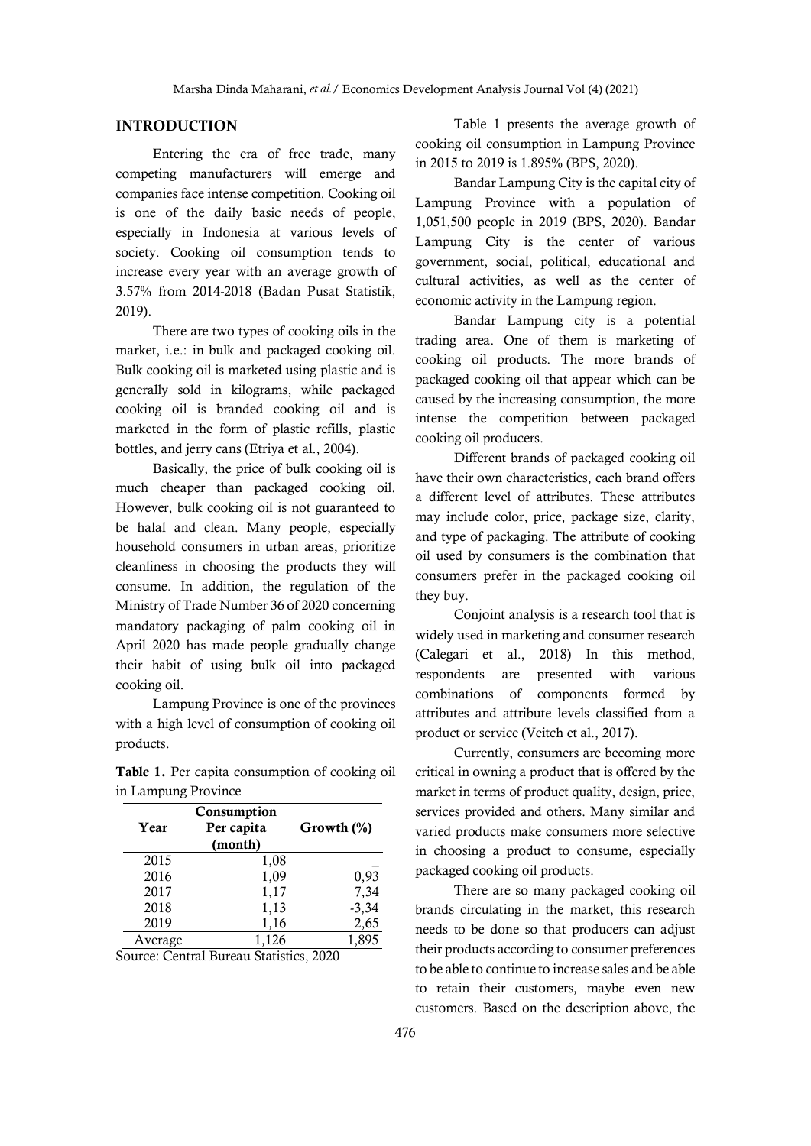## **INTRODUCTION**

Entering the era of free trade, many competing manufacturers will emerge and companies face intense competition. Cooking oil is one of the daily basic needs of people, especially in Indonesia at various levels of society. Cooking oil consumption tends to increase every year with an average growth of 3.57% from 2014-2018 (Badan Pusat Statistik, 2019).

There are two types of cooking oils in the market, i.e.: in bulk and packaged cooking oil. Bulk cooking oil is marketed using plastic and is generally sold in kilograms, while packaged cooking oil is branded cooking oil and is marketed in the form of plastic refills, plastic bottles, and jerry cans (Etriya et al., 2004).

Basically, the price of bulk cooking oil is much cheaper than packaged cooking oil. However, bulk cooking oil is not guaranteed to be halal and clean. Many people, especially household consumers in urban areas, prioritize cleanliness in choosing the products they will consume. In addition, the regulation of the Ministry of Trade Number 36 of 2020 concerning mandatory packaging of palm cooking oil in April 2020 has made people gradually change their habit of using bulk oil into packaged cooking oil.

Lampung Province is one of the provinces with a high level of consumption of cooking oil products.

**Table 1.** Per capita consumption of cooking oil in Lampung Province

| Year    | Consumption<br>Per capita<br>(month) | Growth $(\%)$ |
|---------|--------------------------------------|---------------|
| 2015    | 1,08                                 |               |
| 2016    | 1,09                                 | 0,93          |
| 2017    | 1,17                                 | 7,34          |
| 2018    | 1,13                                 | $-3,34$       |
| 2019    | 1,16                                 | 2,65          |
| Average | 1,126                                | 1.895         |

Source: Central Bureau Statistics, 2020

Table 1 presents the average growth of cooking oil consumption in Lampung Province in 2015 to 2019 is 1.895% (BPS, 2020).

Bandar Lampung City is the capital city of Lampung Province with a population of 1,051,500 people in 2019 (BPS, 2020). Bandar Lampung City is the center of various government, social, political, educational and cultural activities, as well as the center of economic activity in the Lampung region.

Bandar Lampung city is a potential trading area. One of them is marketing of cooking oil products. The more brands of packaged cooking oil that appear which can be caused by the increasing consumption, the more intense the competition between packaged cooking oil producers.

Different brands of packaged cooking oil have their own characteristics, each brand offers a different level of attributes. These attributes may include color, price, package size, clarity, and type of packaging. The attribute of cooking oil used by consumers is the combination that consumers prefer in the packaged cooking oil they buy.

Conjoint analysis is a research tool that is widely used in marketing and consumer research (Calegari et al., 2018) In this method, respondents are presented with various combinations of components formed by attributes and attribute levels classified from a product or service (Veitch et al., 2017).

Currently, consumers are becoming more critical in owning a product that is offered by the market in terms of product quality, design, price, services provided and others. Many similar and varied products make consumers more selective in choosing a product to consume, especially packaged cooking oil products.

There are so many packaged cooking oil brands circulating in the market, this research needs to be done so that producers can adjust their products according to consumer preferences to be able to continue to increase sales and be able to retain their customers, maybe even new customers. Based on the description above, the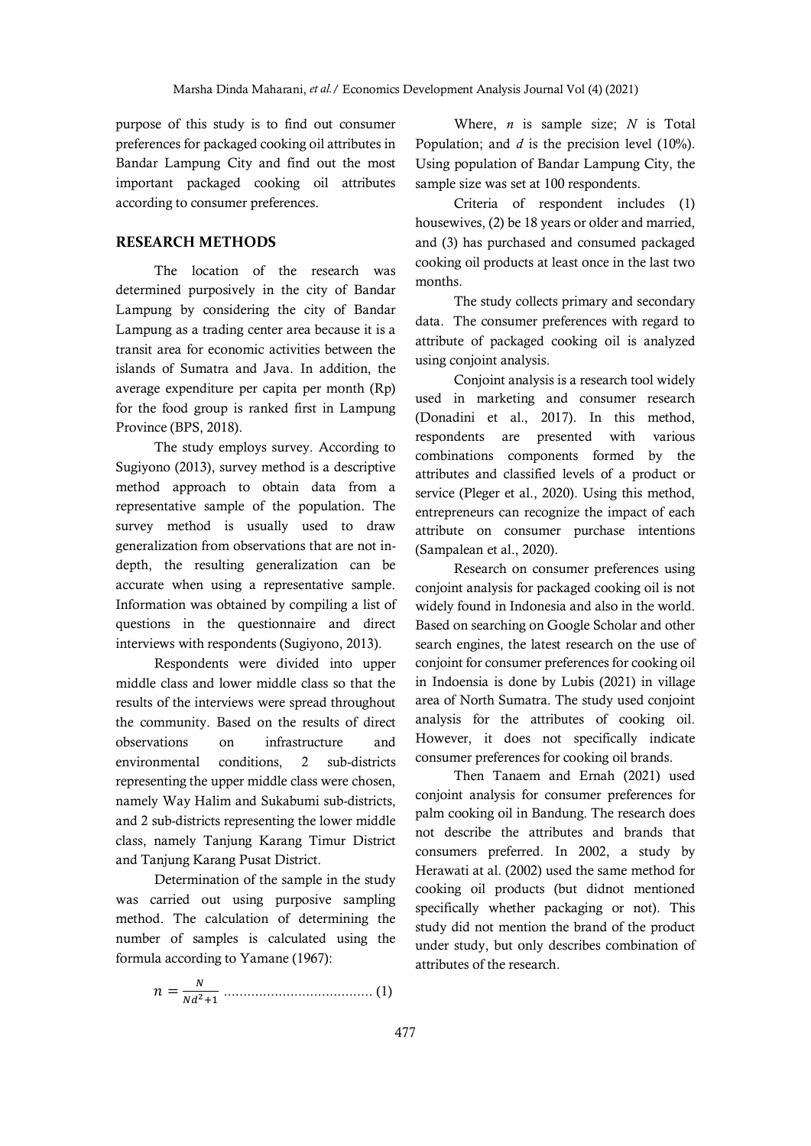purpose of this study is to find out consumer preferences for packaged cooking oil attributes in Bandar Lampung City and find out the most important packaged cooking oil attributes according to consumer preferences.

## **RESEARCH METHODS**

The location of the research was determined purposively in the city of Bandar Lampung by considering the city of Bandar Lampung as a trading center area because it is a transit area for economic activities between the islands of Sumatra and Java. In addition, the average expenditure per capita per month (Rp) for the food group is ranked first in Lampung Province (BPS, 2018).

The study employs survey. According to Sugiyono (2013), survey method is a descriptive method approach to obtain data from a representative sample of the population. The survey method is usually used to draw generalization from observations that are not indepth, the resulting generalization can be accurate when using a representative sample. Information was obtained by compiling a list of questions in the questionnaire and direct interviews with respondents (Sugiyono, 2013).

Respondents were divided into upper middle class and lower middle class so that the results of the interviews were spread throughout the community. Based on the results of direct observations on infrastructure and environmental conditions, 2 sub-districts representing the upper middle class were chosen, namely Way Halim and Sukabumi sub-districts, and 2 sub-districts representing the lower middle class, namely Tanjung Karang Timur District and Tanjung Karang Pusat District.

Determination of the sample in the study was carried out using purposive sampling method. The calculation of determining the number of samples is calculated using the formula according to Yamane (1967):

 = 2+1 ...................................... (1)

Where, *n* is sample size; *N* is Total Population; and *d* is the precision level (10%). Using population of Bandar Lampung City, the sample size was set at 100 respondents.

Criteria of respondent includes (1) housewives, (2) be 18 years or older and married, and (3) has purchased and consumed packaged cooking oil products at least once in the last two months.

The study collects primary and secondary data. The consumer preferences with regard to attribute of packaged cooking oil is analyzed using conjoint analysis.

Conjoint analysis is a research tool widely used in marketing and consumer research (Donadini et al., 2017). In this method, respondents are presented with various combinations components formed by the attributes and classified levels of a product or service (Pleger et al., 2020). Using this method, entrepreneurs can recognize the impact of each attribute on consumer purchase intentions (Sampalean et al., 2020).

Research on consumer preferences using conjoint analysis for packaged cooking oil is not widely found in Indonesia and also in the world. Based on searching on Google Scholar and other search engines, the latest research on the use of conjoint for consumer preferences for cooking oil in Indoensia is done by Lubis (2021) in village area of North Sumatra. The study used conjoint analysis for the attributes of cooking oil. However, it does not specifically indicate consumer preferences for cooking oil brands.

Then Tanaem and Ernah (2021) used conjoint analysis for consumer preferences for palm cooking oil in Bandung. The research does not describe the attributes and brands that consumers preferred. In 2002, a study by Herawati at al. (2002) used the same method for cooking oil products (but didnot mentioned specifically whether packaging or not). This study did not mention the brand of the product under study, but only describes combination of attributes of the research.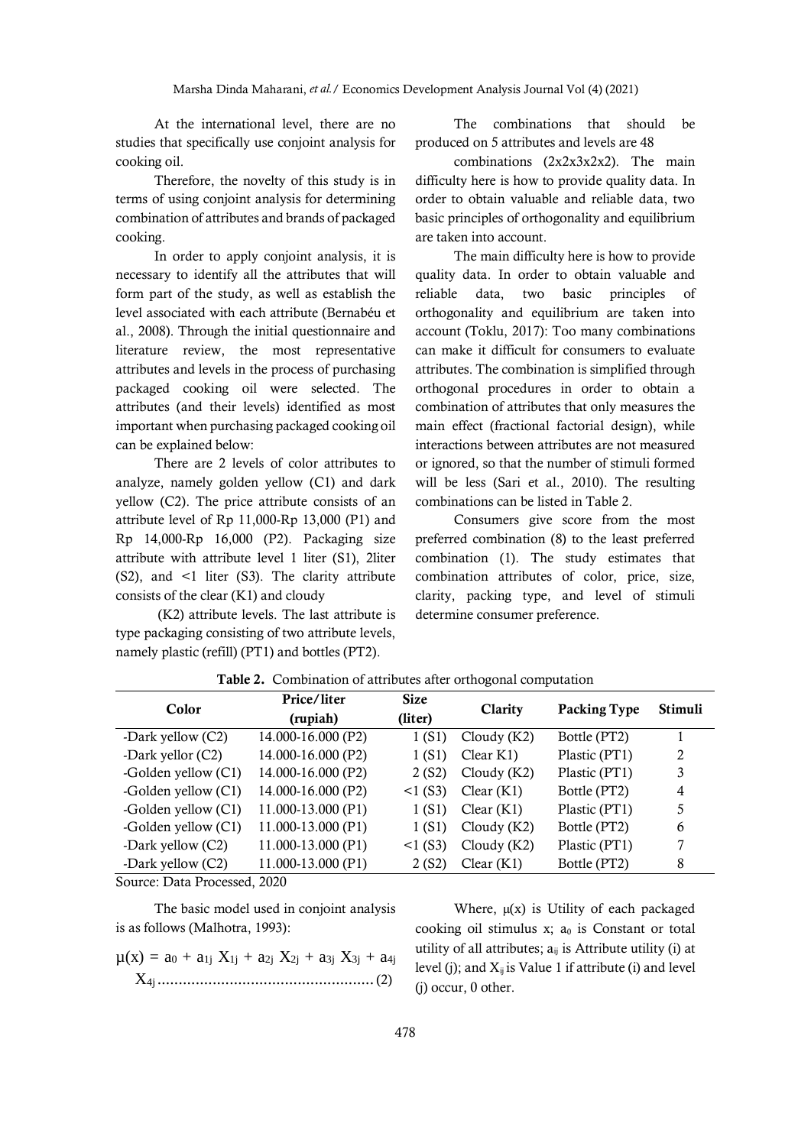At the international level, there are no studies that specifically use conjoint analysis for cooking oil.

Therefore, the novelty of this study is in terms of using conjoint analysis for determining combination of attributes and brands of packaged cooking.

In order to apply conjoint analysis, it is necessary to identify all the attributes that will form part of the study, as well as establish the level associated with each attribute (Bernabéu et al., 2008). Through the initial questionnaire and literature review, the most representative attributes and levels in the process of purchasing packaged cooking oil were selected. The attributes (and their levels) identified as most important when purchasing packaged cooking oil can be explained below:

There are 2 levels of color attributes to analyze, namely golden yellow (C1) and dark yellow (C2). The price attribute consists of an attribute level of Rp 11,000-Rp 13,000 (P1) and Rp 14,000-Rp 16,000 (P2). Packaging size attribute with attribute level 1 liter (S1), 2liter (S2), and <1 liter (S3). The clarity attribute consists of the clear (K1) and cloudy

(K2) attribute levels. The last attribute is type packaging consisting of two attribute levels, namely plastic (refill) (PT1) and bottles (PT2).

The combinations that should be produced on 5 attributes and levels are 48

combinations (2x2x3x2x2). The main difficulty here is how to provide quality data. In order to obtain valuable and reliable data, two basic principles of orthogonality and equilibrium are taken into account.

The main difficulty here is how to provide quality data. In order to obtain valuable and reliable data, two basic principles of orthogonality and equilibrium are taken into account (Toklu, 2017): Too many combinations can make it difficult for consumers to evaluate attributes. The combination is simplified through orthogonal procedures in order to obtain a combination of attributes that only measures the main effect (fractional factorial design), while interactions between attributes are not measured or ignored, so that the number of stimuli formed will be less (Sari et al., 2010). The resulting combinations can be listed in Table 2.

Consumers give score from the most preferred combination (8) to the least preferred combination (1). The study estimates that combination attributes of color, price, size, clarity, packing type, and level of stimuli determine consumer preference.

| Color               | Price/liter<br>(rupiah) | <b>Size</b><br>(liter) | Clarity       | Packing Type  | <b>Stimuli</b> |
|---------------------|-------------------------|------------------------|---------------|---------------|----------------|
| -Dark yellow (C2)   | 14.000-16.000 (P2)      | 1 (S1)                 | Cloudy $(K2)$ | Bottle (PT2)  |                |
| -Dark yellor (C2)   | 14.000-16.000 (P2)      | 1(S1)                  | Clear K1)     | Plastic (PT1) | 2              |
| -Golden yellow (C1) | 14.000-16.000 (P2)      | 2(S2)                  | Cloudy $(K2)$ | Plastic (PT1) | 3              |
| -Golden yellow (C1) | 14.000-16.000 (P2)      | $<1$ (S3)              | Clear(K1)     | Bottle (PT2)  | 4              |
| -Golden yellow (C1) | 11.000-13.000 (P1)      | 1(S1)                  | Clear(K1)     | Plastic (PT1) | 5              |
| -Golden yellow (C1) | 11.000-13.000 (P1)      | 1(S1)                  | Cloudy $(K2)$ | Bottle (PT2)  | 6              |
| -Dark yellow (C2)   | 11.000-13.000 (P1)      | $<1$ (S3)              | Cloudy $(K2)$ | Plastic (PT1) | 7              |
| -Dark yellow (C2)   | 11.000-13.000 (P1)      | 2 (S2)                 | Clear(K1)     | Bottle (PT2)  | 8              |

**Table 2.** Combination of attributes after orthogonal computation

Source: Data Processed, 2020

The basic model used in conjoint analysis is as follows (Malhotra, 1993):

$$
\mu(x) = a_0 + a_{1j} X_{1j} + a_{2j} X_{2j} + a_{3j} X_{3j} + a_{4j}
$$
  
X<sub>4j</sub>................. (2)

Where,  $\mu(x)$  is Utility of each packaged cooking oil stimulus  $x$ ;  $a_0$  is Constant or total utility of all attributes;  $a_{ij}$  is Attribute utility (i) at level (j); and  $X_{ii}$  is Value 1 if attribute (i) and level (j) occur, 0 other.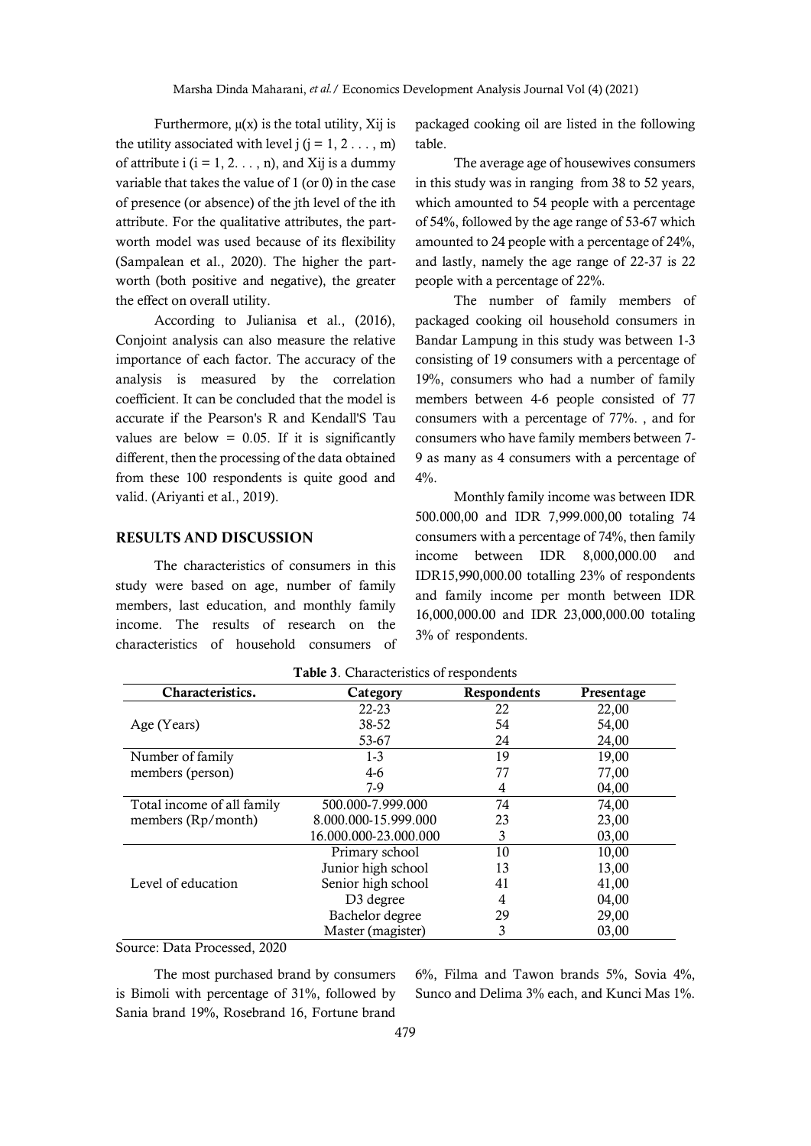Furthermore,  $\mu(x)$  is the total utility, Xij is the utility associated with level  $i$  ( $i = 1, 2, \ldots, m$ ) of attribute  $i$  ( $i = 1, 2, \ldots, n$ ), and Xij is a dummy variable that takes the value of 1 (or 0) in the case of presence (or absence) of the jth level of the ith attribute. For the qualitative attributes, the partworth model was used because of its flexibility (Sampalean et al., 2020). The higher the partworth (both positive and negative), the greater the effect on overall utility.

According to Julianisa et al., (2016), Conjoint analysis can also measure the relative importance of each factor. The accuracy of the analysis is measured by the correlation coefficient. It can be concluded that the model is accurate if the Pearson's R and Kendall'S Tau values are below  $= 0.05$ . If it is significantly different, then the processing of the data obtained from these 100 respondents is quite good and valid. (Ariyanti et al., 2019).

#### **RESULTS AND DISCUSSION**

The characteristics of consumers in this study were based on age, number of family members, last education, and monthly family income. The results of research on the characteristics of household consumers of packaged cooking oil are listed in the following table.

The average age of housewives consumers in this study was in ranging from 38 to 52 years, which amounted to 54 people with a percentage of 54%, followed by the age range of 53-67 which amounted to 24 people with a percentage of 24%, and lastly, namely the age range of 22-37 is 22 people with a percentage of 22%.

The number of family members of packaged cooking oil household consumers in Bandar Lampung in this study was between 1-3 consisting of 19 consumers with a percentage of 19%, consumers who had a number of family members between 4-6 people consisted of 77 consumers with a percentage of 77%. , and for consumers who have family members between 7- 9 as many as 4 consumers with a percentage of 4%.

Monthly family income was between IDR 500.000,00 and IDR 7,999.000,00 totaling 74 consumers with a percentage of 74%, then family income between IDR 8,000,000.00 and IDR15,990,000.00 totalling 23% of respondents and family income per month between IDR 16,000,000.00 and IDR 23,000,000.00 totaling 3% of respondents.

|                            | Characteristics.<br>Respondents<br>Category<br>Presentage |    |       |  |  |  |  |  |
|----------------------------|-----------------------------------------------------------|----|-------|--|--|--|--|--|
|                            | $22 - 23$                                                 | 22 | 22,00 |  |  |  |  |  |
| Age (Years)                | 38-52                                                     | 54 | 54,00 |  |  |  |  |  |
|                            | 53-67                                                     | 24 | 24,00 |  |  |  |  |  |
| Number of family           | $1-3$                                                     | 19 | 19,00 |  |  |  |  |  |
| members (person)           | $4-6$                                                     | 77 | 77,00 |  |  |  |  |  |
|                            | 7-9                                                       | 4  | 04,00 |  |  |  |  |  |
| Total income of all family | 500.000-7.999.000                                         | 74 | 74,00 |  |  |  |  |  |
| members (Rp/month)         | 8.000.000-15.999.000                                      | 23 | 23,00 |  |  |  |  |  |
|                            | 16.000.000-23.000.000                                     | 3  | 03,00 |  |  |  |  |  |
|                            | Primary school                                            | 10 | 10,00 |  |  |  |  |  |
|                            | Junior high school                                        | 13 | 13,00 |  |  |  |  |  |
| Level of education         | Senior high school                                        | 41 | 41,00 |  |  |  |  |  |
|                            | D <sub>3</sub> degree                                     | 4  | 04,00 |  |  |  |  |  |
|                            | Bachelor degree                                           | 29 | 29,00 |  |  |  |  |  |
|                            | Master (magister)                                         | 3  | 03.00 |  |  |  |  |  |

**Table 3**. Characteristics of respondents

Source: Data Processed, 2020

The most purchased brand by consumers is Bimoli with percentage of 31%, followed by Sania brand 19%, Rosebrand 16, Fortune brand 6%, Filma and Tawon brands 5%, Sovia 4%, Sunco and Delima 3% each, and Kunci Mas 1%.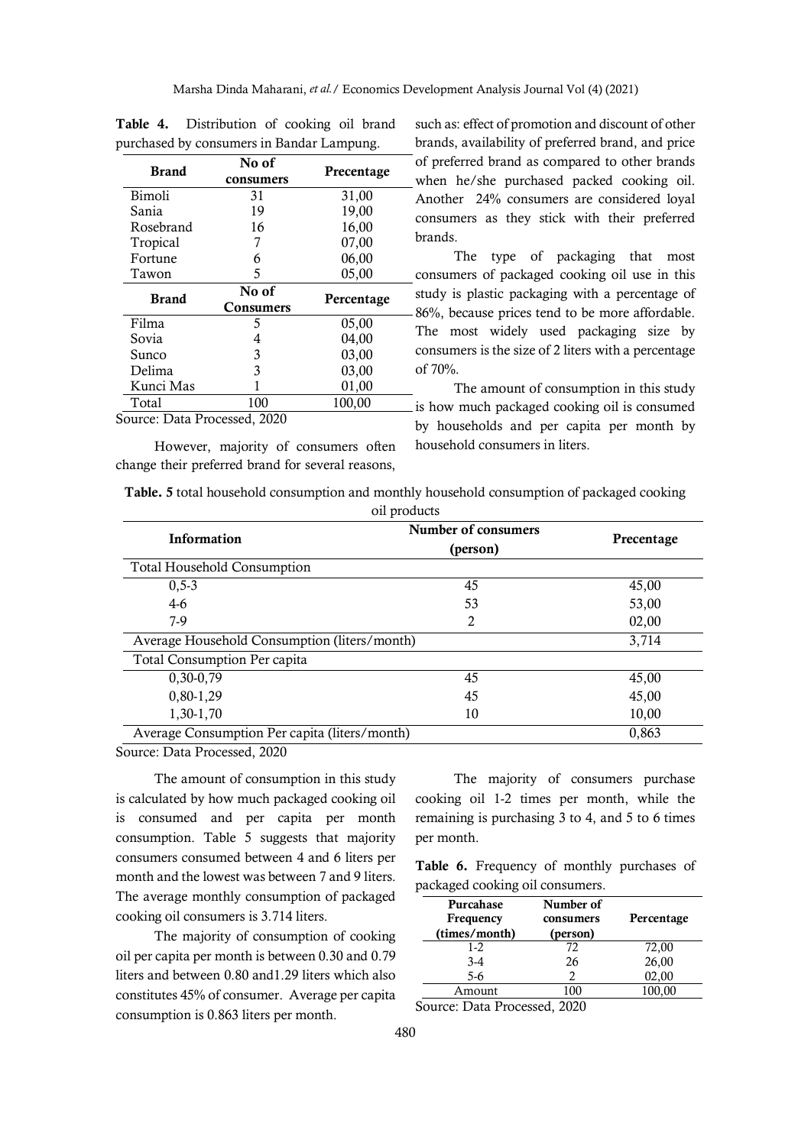|              |                           | ↩          |
|--------------|---------------------------|------------|
| <b>Brand</b> | No of<br>consumers        | Precentage |
| Bimoli       | 31                        | 31,00      |
| Sania        | 19                        | 19,00      |
| Rosebrand    | 16                        | 16,00      |
| Tropical     | 7                         | 07,00      |
| Fortune      | 6                         | 06,00      |
| Tawon        | 5                         | 05,00      |
| <b>Brand</b> | No of<br><b>Consumers</b> | Percentage |
| Filma        | 5                         | 05,00      |
| Sovia        | 4                         | 04,00      |
| Sunco        | 3                         | 03,00      |
|              |                           |            |
| Delima       | 3                         | 03,00      |
| Kunci Mas    |                           | 01,00      |

**Table 4.** Distribution of cooking oil brand purchased by consumers in Bandar Lampung.

Source: Data Processed, 2020

However, majority of consumers often change their preferred brand for several reasons,

such as: effect of promotion and discount of other brands, availability of preferred brand, and price of preferred brand as compared to other brands when he/she purchased packed cooking oil. Another 24% consumers are considered loyal consumers as they stick with their preferred brands.

The type of packaging that most consumers of packaged cooking oil use in this study is plastic packaging with a percentage of 86%, because prices tend to be more affordable. The most widely used packaging size by consumers is the size of 2 liters with a percentage of 70%.

The amount of consumption in this study is how much packaged cooking oil is consumed by households and per capita per month by household consumers in liters.

|  | Table. 5 total household consumption and monthly household consumption of packaged cooking |              |  |  |
|--|--------------------------------------------------------------------------------------------|--------------|--|--|
|  |                                                                                            | oil products |  |  |

| <b>Information</b>                            | Number of consumers<br>(person) | Precentage |
|-----------------------------------------------|---------------------------------|------------|
| <b>Total Household Consumption</b>            |                                 |            |
| $0, 5 - 3$                                    | 45                              | 45,00      |
| $4-6$                                         | 53                              | 53,00      |
| 7-9                                           | 2                               | 02,00      |
| Average Household Consumption (liters/month)  |                                 | 3,714      |
| Total Consumption Per capita                  |                                 |            |
| 0,30-0,79                                     | 45                              | 45,00      |
| 0,80-1,29                                     | 45                              | 45,00      |
| 1,30-1,70                                     | 10                              | 10,00      |
| Average Consumption Per capita (liters/month) |                                 | 0,863      |

Source: Data Processed, 2020

The amount of consumption in this study is calculated by how much packaged cooking oil is consumed and per capita per month consumption. Table 5 suggests that majority consumers consumed between 4 and 6 liters per month and the lowest was between 7 and 9 liters. The average monthly consumption of packaged cooking oil consumers is 3.714 liters.

The majority of consumption of cooking oil per capita per month is between 0.30 and 0.79 liters and between 0.80 and1.29 liters which also constitutes 45% of consumer. Average per capita consumption is 0.863 liters per month.

The majority of consumers purchase cooking oil 1-2 times per month, while the remaining is purchasing 3 to 4, and 5 to 6 times per month.

**Table 6.** Frequency of monthly purchases of packaged cooking oil consumers.

| Purcahase<br>Frequency<br>(times/month) | Number of<br>consumers<br>(person) | Percentage |
|-----------------------------------------|------------------------------------|------------|
| $1 - 2$                                 | 72                                 | 72,00      |
| $3-4$                                   | 26                                 | 26,00      |
| $5-6$                                   |                                    | 02,00      |
| Amount                                  |                                    | 100,00     |
|                                         |                                    |            |

Source: Data Processed, 2020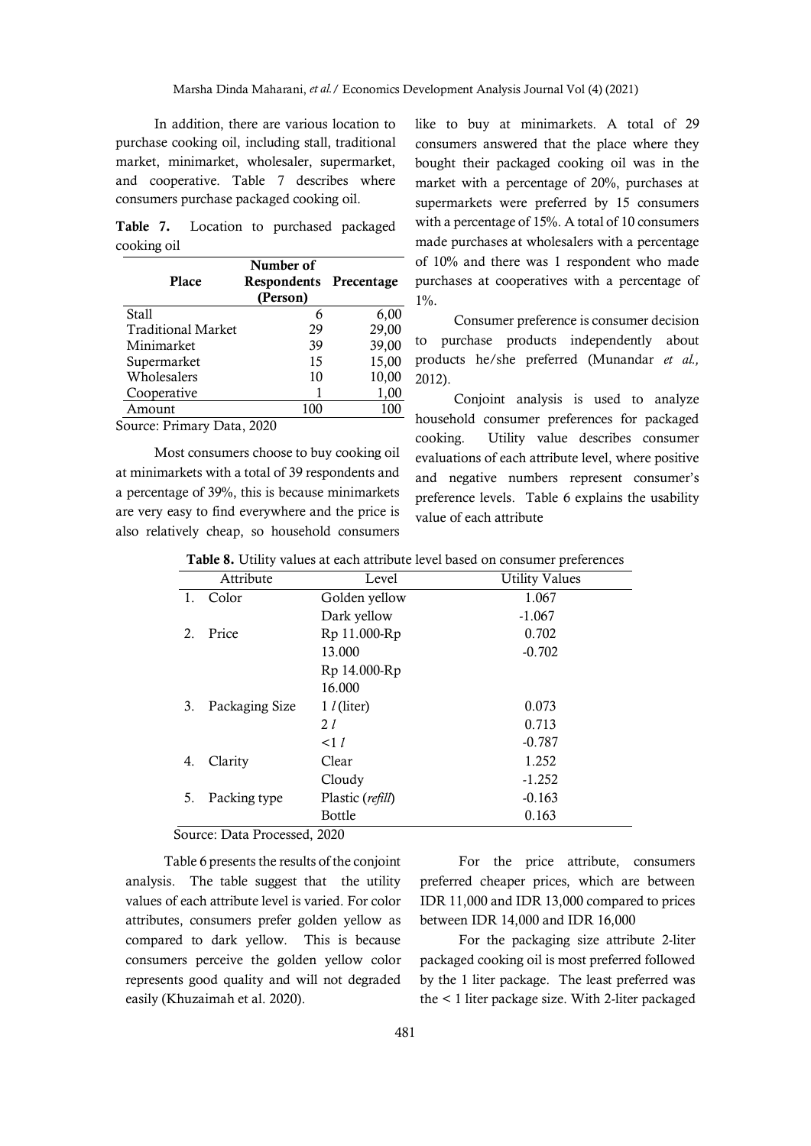In addition, there are various location to purchase cooking oil, including stall, traditional market, minimarket, wholesaler, supermarket, and cooperative. Table 7 describes where consumers purchase packaged cooking oil.

**Table 7.** Location to purchased packaged cooking oil

| Place                     | Number of<br>Respondents Precentage<br>(Person) |       |
|---------------------------|-------------------------------------------------|-------|
| Stall                     | 6                                               | 6,00  |
| <b>Traditional Market</b> | 29                                              | 29,00 |
| Minimarket                | 39                                              | 39,00 |
| Supermarket               | 15                                              | 15,00 |
| Wholesalers               | 10                                              | 10,00 |
| Cooperative               |                                                 | 1,00  |
| Amount                    | 100                                             | 100   |
| $\mathbf{r}$ .            | $\sim$                                          |       |

Source: Primary Data, 2020

Most consumers choose to buy cooking oil at minimarkets with a total of 39 respondents and a percentage of 39%, this is because minimarkets are very easy to find everywhere and the price is also relatively cheap, so household consumers like to buy at minimarkets. A total of 29 consumers answered that the place where they bought their packaged cooking oil was in the market with a percentage of 20%, purchases at supermarkets were preferred by 15 consumers with a percentage of 15%. A total of 10 consumers made purchases at wholesalers with a percentage of 10% and there was 1 respondent who made purchases at cooperatives with a percentage of 1%.

Consumer preference is consumer decision to purchase products independently about products he/she preferred (Munandar *et al.,*  2012).

Conjoint analysis is used to analyze household consumer preferences for packaged cooking. Utility value describes consumer evaluations of each attribute level, where positive and negative numbers represent consumer's preference levels. Table 6 explains the usability value of each attribute

|    | Attribute                                            | Level                | <b>Utility Values</b> |
|----|------------------------------------------------------|----------------------|-----------------------|
| 1. | Color                                                | Golden yellow        | 1.067                 |
|    |                                                      | Dark yellow          | $-1.067$              |
| 2. | Price                                                | Rp 11.000-Rp         | 0.702                 |
|    |                                                      | 13.000               | $-0.702$              |
|    |                                                      | Rp 14.000-Rp         |                       |
|    |                                                      | 16.000               |                       |
| 3. | Packaging Size                                       | $1$ $l$ (liter)      | 0.073                 |
|    |                                                      | 21                   | 0.713                 |
|    |                                                      | $\leq$ 1 $l$         | $-0.787$              |
| 4. | Clarity                                              | Clear                | 1.252                 |
|    |                                                      | Cloudy               | $-1.252$              |
| 5. | Packing type                                         | Plastic (refill)     | $-0.163$              |
|    |                                                      | Bottle               | 0.163                 |
|    | $\overline{\phantom{0}}$<br>$\overline{\phantom{a}}$ | $\sim$ $\sim$ $\sim$ |                       |

**Table 8.** Utility values at each attribute level based on consumer preferences

Source: Data Processed, 2020

Table 6 presents the results of the conjoint analysis. The table suggest that the utility values of each attribute level is varied. For color attributes, consumers prefer golden yellow as compared to dark yellow. This is because consumers perceive the golden yellow color represents good quality and will not degraded easily (Khuzaimah et al. 2020).

For the price attribute, consumers preferred cheaper prices, which are between IDR 11,000 and IDR 13,000 compared to prices between IDR 14,000 and IDR 16,000

For the packaging size attribute 2-liter packaged cooking oil is most preferred followed by the 1 liter package. The least preferred was the < 1 liter package size. With 2-liter packaged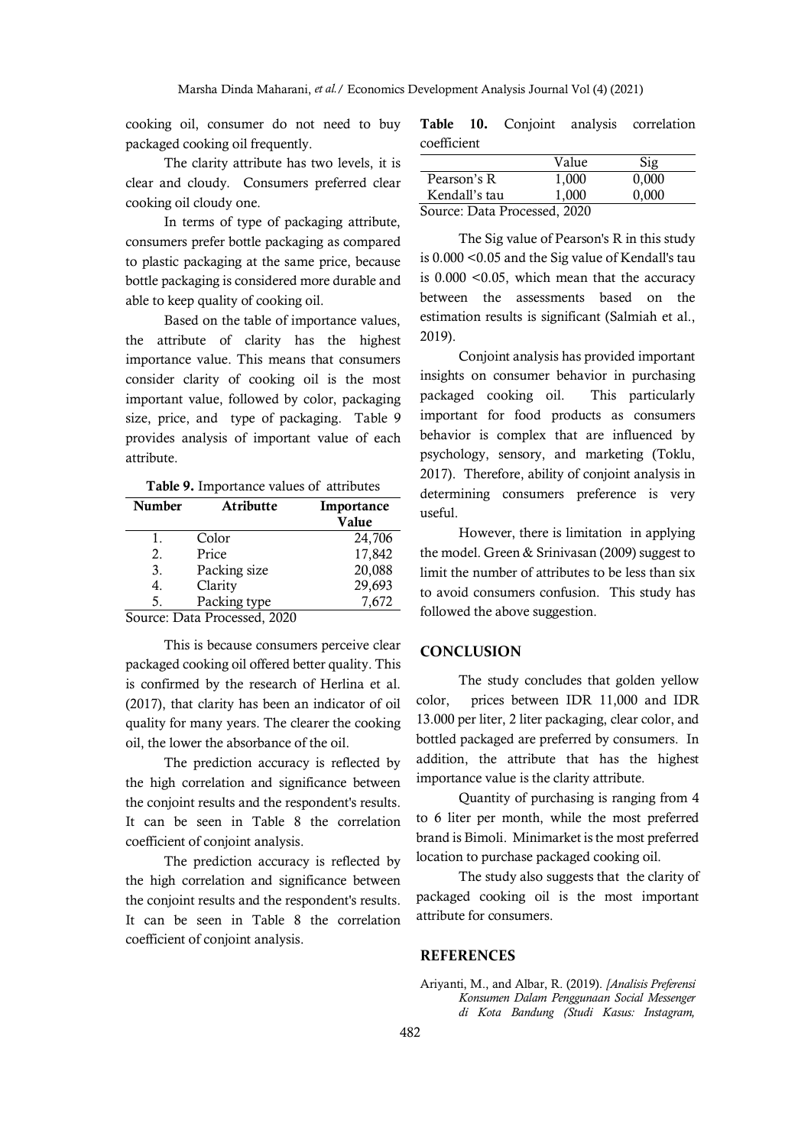cooking oil, consumer do not need to buy packaged cooking oil frequently.

The clarity attribute has two levels, it is clear and cloudy. Consumers preferred clear cooking oil cloudy one.

In terms of type of packaging attribute, consumers prefer bottle packaging as compared to plastic packaging at the same price, because bottle packaging is considered more durable and able to keep quality of cooking oil.

Based on the table of importance values, the attribute of clarity has the highest importance value. This means that consumers consider clarity of cooking oil is the most important value, followed by color, packaging size, price, and type of packaging. Table 9 provides analysis of important value of each attribute.

**Table 9.** Importance values of attributes

| <b>Number</b> | Atributte                    | Importance<br>Value |
|---------------|------------------------------|---------------------|
| 1.            | Color                        | 24,706              |
| 2.            | Price                        | 17,842              |
| 3.            | Packing size                 | 20,088              |
| 4.            | Clarity                      | 29,693              |
| 5.            | Packing type                 | 7,672               |
|               | Courgo: Data Drogossad, 2020 |                     |

Source: Data Processed, 2020

This is because consumers perceive clear packaged cooking oil offered better quality. This is confirmed by the research of Herlina et al. (2017), that clarity has been an indicator of oil quality for many years. The clearer the cooking oil, the lower the absorbance of the oil.

The prediction accuracy is reflected by the high correlation and significance between the conjoint results and the respondent's results. It can be seen in Table 8 the correlation coefficient of conjoint analysis.

The prediction accuracy is reflected by the high correlation and significance between the conjoint results and the respondent's results. It can be seen in Table 8 the correlation coefficient of conjoint analysis.

|             |  | Table 10. Conjoint analysis correlation |
|-------------|--|-----------------------------------------|
| coefficient |  |                                         |

|                              | Value | Sig   |  |
|------------------------------|-------|-------|--|
| Pearson's R                  | 1,000 | 0,000 |  |
| Kendall's tau                | 1.000 | 0.000 |  |
| Source: Data Processed, 2020 |       |       |  |

The Sig value of Pearson's R in this study is 0.000 <0.05 and the Sig value of Kendall's tau is 0.000 <0.05, which mean that the accuracy between the assessments based on the estimation results is significant (Salmiah et al., 2019).

Conjoint analysis has provided important insights on consumer behavior in purchasing packaged cooking oil. This particularly important for food products as consumers behavior is complex that are influenced by psychology, sensory, and marketing (Toklu, 2017). Therefore, ability of conjoint analysis in determining consumers preference is very useful.

However, there is limitation in applying the model. Green & Srinivasan (2009) suggest to limit the number of attributes to be less than six to avoid consumers confusion. This study has followed the above suggestion.

## **CONCLUSION**

The study concludes that golden yellow color, prices between IDR 11,000 and IDR 13.000 per liter, 2 liter packaging, clear color, and bottled packaged are preferred by consumers. In addition, the attribute that has the highest importance value is the clarity attribute.

Quantity of purchasing is ranging from 4 to 6 liter per month, while the most preferred brand is Bimoli. Minimarket is the most preferred location to purchase packaged cooking oil.

The study also suggests that the clarity of packaged cooking oil is the most important attribute for consumers.

#### **REFERENCES**

Ariyanti, M., and Albar, R. (2019). *[Analisis Preferensi Konsumen Dalam Penggunaan Social Messenger di Kota Bandung (Studi Kasus: Instagram,*